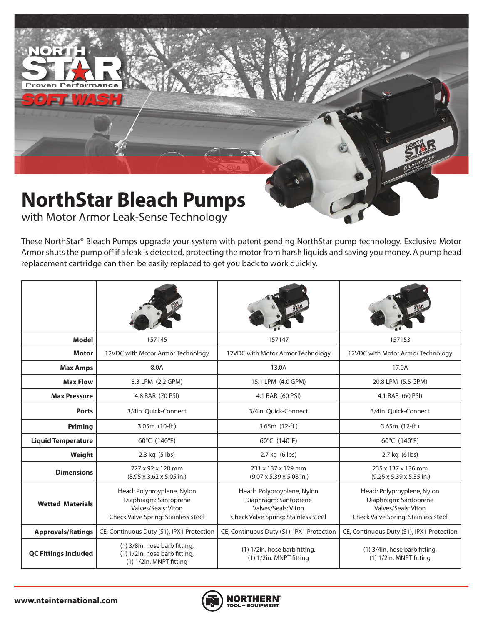## **NorthStar Bleach Pumps**

with Motor Armor Leak-Sense Technology

*SOFT WASH*

Proven

These NorthStar® Bleach Pumps upgrade your system with patent pending NorthStar pump technology. Exclusive Motor Armor shuts the pump off if a leak is detected, protecting the motor from harsh liquids and saving you money. A pump head replacement cartridge can then be easily replaced to get you back to work quickly.

**DOCK** 

| <b>Model</b>                | 157145                                                                                                            | 157147                                                                                                            | 157153                                                                                                            |
|-----------------------------|-------------------------------------------------------------------------------------------------------------------|-------------------------------------------------------------------------------------------------------------------|-------------------------------------------------------------------------------------------------------------------|
| <b>Motor</b>                | 12VDC with Motor Armor Technology                                                                                 | 12VDC with Motor Armor Technology                                                                                 | 12VDC with Motor Armor Technology                                                                                 |
| <b>Max Amps</b>             | 8.0A                                                                                                              | 13.0A                                                                                                             | 17.0A                                                                                                             |
| <b>Max Flow</b>             | 8.3 LPM (2.2 GPM)                                                                                                 | 15.1 LPM (4.0 GPM)                                                                                                | 20.8 LPM (5.5 GPM)                                                                                                |
| <b>Max Pressure</b>         | 4.8 BAR (70 PSI)                                                                                                  | 4.1 BAR (60 PSI)                                                                                                  | 4.1 BAR (60 PSI)                                                                                                  |
| <b>Ports</b>                | 3/4in. Ouick-Connect                                                                                              | 3/4in. Ouick-Connect                                                                                              | 3/4in. Ouick-Connect                                                                                              |
| <b>Priming</b>              | 3.05m (10-ft.)                                                                                                    | 3.65m (12-ft.)                                                                                                    | 3.65m (12-ft.)                                                                                                    |
| <b>Liquid Temperature</b>   | 60°C (140°F)                                                                                                      | 60°C (140°F)                                                                                                      | 60°C (140°F)                                                                                                      |
| Weight                      | 2.3 kg (5 lbs)                                                                                                    | 2.7 kg (6 lbs)                                                                                                    | 2.7 kg (6 lbs)                                                                                                    |
| <b>Dimensions</b>           | 227 x 92 x 128 mm<br>$(8.95 \times 3.62 \times 5.05 \text{ in.})$                                                 | 231 x 137 x 129 mm<br>$(9.07 \times 5.39 \times 5.08 \text{ in.})$                                                | 235 x 137 x 136 mm<br>$(9.26 \times 5.39 \times 5.35 \text{ in.})$                                                |
| <b>Wetted Materials</b>     | Head: Polyproyplene, Nylon<br>Diaphragm: Santoprene<br>Valves/Seals: Viton<br>Check Valve Spring: Stainless steel | Head: Polyproyplene, Nylon<br>Diaphragm: Santoprene<br>Valves/Seals: Viton<br>Check Valve Spring: Stainless steel | Head: Polyproyplene, Nylon<br>Diaphragm: Santoprene<br>Valves/Seals: Viton<br>Check Valve Spring: Stainless steel |
| <b>Approvals/Ratings</b>    | CE, Continuous Duty (S1), IPX1 Protection                                                                         | CE, Continuous Duty (S1), IPX1 Protection                                                                         | CE, Continuous Duty (S1), IPX1 Protection                                                                         |
| <b>QC Fittings Included</b> | (1) 3/8in. hose barb fitting,<br>(1) 1/2in. hose barb fitting,<br>(1) 1/2in. MNPT fitting                         | (1) 1/2in. hose barb fitting,<br>(1) 1/2in. MNPT fitting                                                          | (1) 3/4in. hose barb fitting,<br>(1) 1/2in. MNPT fitting                                                          |